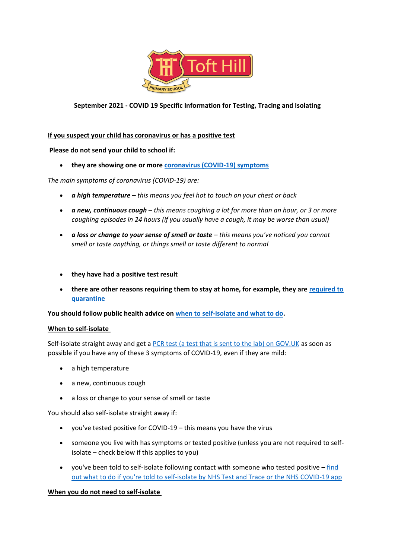

# **September 2021 - COVID 19 Specific Information for Testing, Tracing and Isolating**

### **If you suspect your child has coronavirus or has a positive test**

### **Please do not send your child to school if:**

• **they are showing one or more [coronavirus \(COVID-19\) symptoms](https://www.nhs.uk/conditions/coronavirus-covid-19/symptoms/)**

*The main symptoms of coronavirus (COVID-19) are:*

- *a high temperature – this means you feel hot to touch on your chest or back*
- *a new, continuous cough – this means coughing a lot for more than an hour, or 3 or more coughing episodes in 24 hours (if you usually have a cough, it may be worse than usual)*
- *a loss or change to your sense of smell or taste – this means you've noticed you cannot smell or taste anything, or things smell or taste different to normal*
- **they have had a positive test result**
- **there are other reasons requiring them to stay at home, for example, they are [required to](https://www.gov.uk/uk-border-control/self-isolating-when-you-arrive)  [quarantine](https://www.gov.uk/uk-border-control/self-isolating-when-you-arrive)**

**You should follow public health advice on [when to self-isolate and what to do.](https://www.nhs.uk/conditions/coronavirus-covid-19/self-isolation-and-treatment/when-to-self-isolate-and-what-to-do/)**

#### **When to self-isolate**

Self-isolate straight away and get a [PCR test \(a test that is sent to the lab\) on GOV.UK](https://www.gov.uk/get-coronavirus-test) as soon as possible if you have any of these 3 symptoms of COVID-19, even if they are mild:

- a high temperature
- a new, continuous cough
- a loss or change to your sense of smell or taste

You should also self-isolate straight away if:

- you've tested positive for COVID-19 this means you have the virus
- someone you live with has symptoms or tested positive (unless you are not required to selfisolate – check below if this applies to you)
- you've been told to self-isolate following contact with someone who tested positive  $-\underline{\text{find}}$ [out what to do if you're told to self-isolate by NHS Test and Trace or the NHS COVID-19 app](https://www.nhs.uk/conditions/coronavirus-covid-19/self-isolation-and-treatment/if-youre-told-to-self-isolate-by-nhs-test-and-trace-or-the-covid-19-app/)

#### **When you do not need to self-isolate**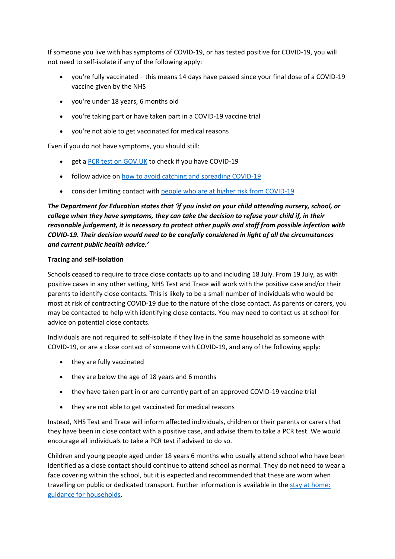If someone you live with has symptoms of COVID-19, or has tested positive for COVID-19, you will not need to self-isolate if any of the following apply:

- you're fully vaccinated this means 14 days have passed since your final dose of a COVID-19 vaccine given by the NHS
- you're under 18 years, 6 months old
- you're taking part or have taken part in a COVID-19 vaccine trial
- you're not able to get vaccinated for medical reasons

Even if you do not have symptoms, you should still:

- get a PCR test on GOV. UK to check if you have COVID-19
- follow advice on [how to avoid catching and spreading COVID-19](https://www.nhs.uk/conditions/coronavirus-covid-19/how-to-avoid-catching-and-spreading-coronavirus-covid-19/)
- consider limiting contact with [people who are at higher risk from COVID-19](https://www.nhs.uk/conditions/coronavirus-covid-19/people-at-higher-risk/)

*The Department for Education states that 'if you insist on your child attending nursery, school, or college when they have symptoms, they can take the decision to refuse your child if, in their reasonable judgement, it is necessary to protect other pupils and staff from possible infection with COVID-19. Their decision would need to be carefully considered in light of all the circumstances and current public health advice.'*

## **Tracing and self-isolation**

Schools ceased to require to trace close contacts up to and including 18 July. From 19 July, as with positive cases in any other setting, NHS Test and Trace will work with the positive case and/or their parents to identify close contacts. This is likely to be a small number of individuals who would be most at risk of contracting COVID-19 due to the nature of the close contact. As parents or carers, you may be contacted to help with identifying close contacts. You may need to contact us at school for advice on potential close contacts.

Individuals are not required to self-isolate if they live in the same household as someone with COVID-19, or are a close contact of someone with COVID-19, and any of the following apply:

- they are fully vaccinated
- they are below the age of 18 years and 6 months
- they have taken part in or are currently part of an approved COVID-19 vaccine trial
- they are not able to get vaccinated for medical reasons

Instead, NHS Test and Trace will inform affected individuals, children or their parents or carers that they have been in close contact with a positive case, and advise them to take a PCR test. We would encourage all individuals to take a PCR test if advised to do so.

Children and young people aged under 18 years 6 months who usually attend school who have been identified as a close contact should continue to attend school as normal. They do not need to wear a face covering within the school, but it is expected and recommended that these are worn when travelling on public or dedicated transport. Further information is available in the [stay at home:](https://www.gov.uk/government/publications/covid-19-stay-at-home-guidance/stay-at-home-guidance-for-households-with-possible-coronavirus-covid-19-infection)  [guidance for households.](https://www.gov.uk/government/publications/covid-19-stay-at-home-guidance/stay-at-home-guidance-for-households-with-possible-coronavirus-covid-19-infection)